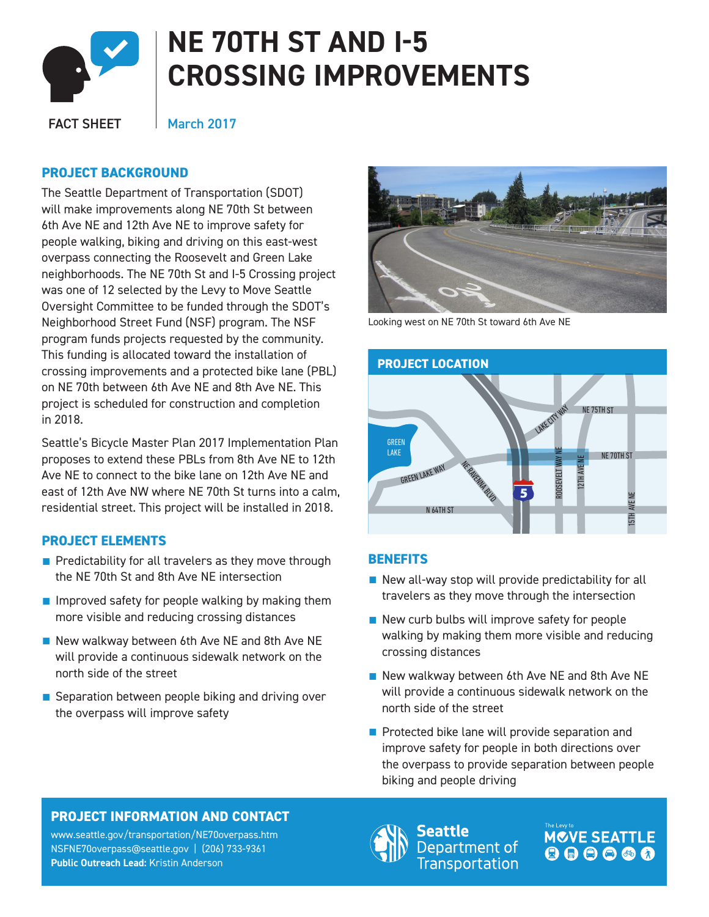

# **NE 70TH ST AND I-5 CROSSING IMPROVEMENTS**

FACT SHEET

March 2017

## **PROJECT BACKGROUND**

E<br>:a will make improvements along NE 70th St between 6th Ave NE and 12th Ave NE to improve safety for The Seattle Department of Transportation (SDOT) people walking, biking and driving on this east-west overpass connecting the Roosevelt and Green Lake neighborhoods. The NE 70th St and I-5 Crossing project was one of 12 selected by the Levy to Move Seattle Oversight Committee to be funded through the SDOT's Neighborhood Street Fund (NSF) program. The NSF program funds projects requested by the community. This funding is allocated toward the installation of crossing improvements and a protected bike lane (PBL) on NE 70th between 6th Ave NE and 8th Ave NE. This project is scheduled for construction and completion in 2018.

Seattle's Bicycle Master Plan 2017 Implementation Plan proposes to extend these PBLs from 8th Ave NE to 12th Ave NE to connect to the bike lane on 12th Ave NE and east of 12th Ave NW where NE 70th St turns into a calm, residential street. This project will be installed in 2018.

# **PROJECT ELEMENTS**

- Predictability for all travelers as they move through the NE 70th St and 8th Ave NE intersection
- Improved safety for people walking by making them more visible and reducing crossing distances
- New walkway between 6th Ave NE and 8th Ave NE will provide a continuous sidewalk network on the north side of the street
- Separation between people biking and driving over the overpass will improve safety



Looking west on NE 70th St toward 6th Ave NE



## **BENEFITS**

- New all-way stop will provide predictability for all travelers as they move through the intersection
- New curb bulbs will improve safety for people walking by making them more visible and reducing crossing distances
- New walkway between 6th Ave NE and 8th Ave NE will provide a continuous sidewalk network on the north side of the street
- Protected bike lane will provide separation and improve safety for people in both directions over the overpass to provide separation between people biking and people driving

# **PROJECT INFORMATION AND CONTACT**

www.seattle.gov/transportation/NE70overpass.ht[m](http://www.seattle.gov/transportation/2ndavepbl_belltown.htm) NSFNE70overpass@seattle.gov | (206) 733-9361 **Public Outreach Lead:** Kristin Anderson



eattle Department of **Transportation**  **MOVE SEATTLE** 000000